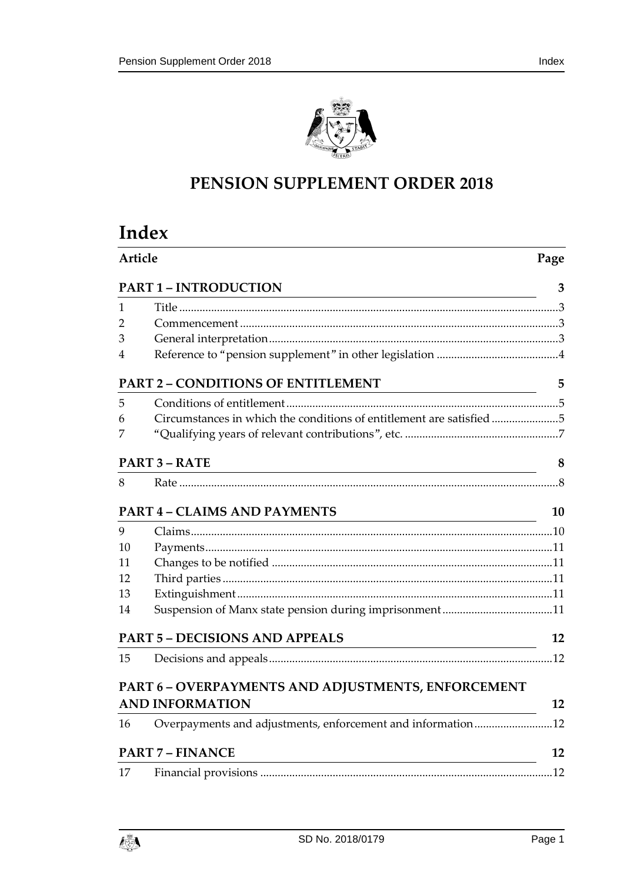

# **PENSION SUPPLEMENT ORDER 2018**

# **Index**

| Article |                                                                                                 | Page      |  |
|---------|-------------------------------------------------------------------------------------------------|-----------|--|
|         | <b>PART 1 - INTRODUCTION</b>                                                                    | 3         |  |
| 1       |                                                                                                 |           |  |
| 2       |                                                                                                 |           |  |
| 3       |                                                                                                 |           |  |
| 4       |                                                                                                 |           |  |
|         | <b>PART 2 - CONDITIONS OF ENTITLEMENT</b><br><u> 1989 - Johann Barn, mars eta biztanleria (</u> | 5         |  |
| 5       |                                                                                                 |           |  |
| 6       | Circumstances in which the conditions of entitlement are satisfied 5                            |           |  |
| 7       |                                                                                                 |           |  |
|         | <b>PART 3 - RATE</b>                                                                            | 8         |  |
| 8       |                                                                                                 |           |  |
|         | <b>PART 4 - CLAIMS AND PAYMENTS</b>                                                             | <b>10</b> |  |
| 9       |                                                                                                 |           |  |
| 10      |                                                                                                 |           |  |
| 11      |                                                                                                 |           |  |
| 12      |                                                                                                 |           |  |
| 13      |                                                                                                 |           |  |
| 14      |                                                                                                 |           |  |
|         | <b>PART 5 - DECISIONS AND APPEALS</b>                                                           | 12        |  |
| 15      |                                                                                                 |           |  |
|         | PART 6 - OVERPAYMENTS AND ADJUSTMENTS, ENFORCEMENT                                              |           |  |
|         | <b>AND INFORMATION</b>                                                                          | 12        |  |
| 16      | Overpayments and adjustments, enforcement and information12                                     |           |  |
|         | <b>PART 7 - FINANCE</b>                                                                         | 12        |  |
| 17      |                                                                                                 |           |  |
|         |                                                                                                 |           |  |

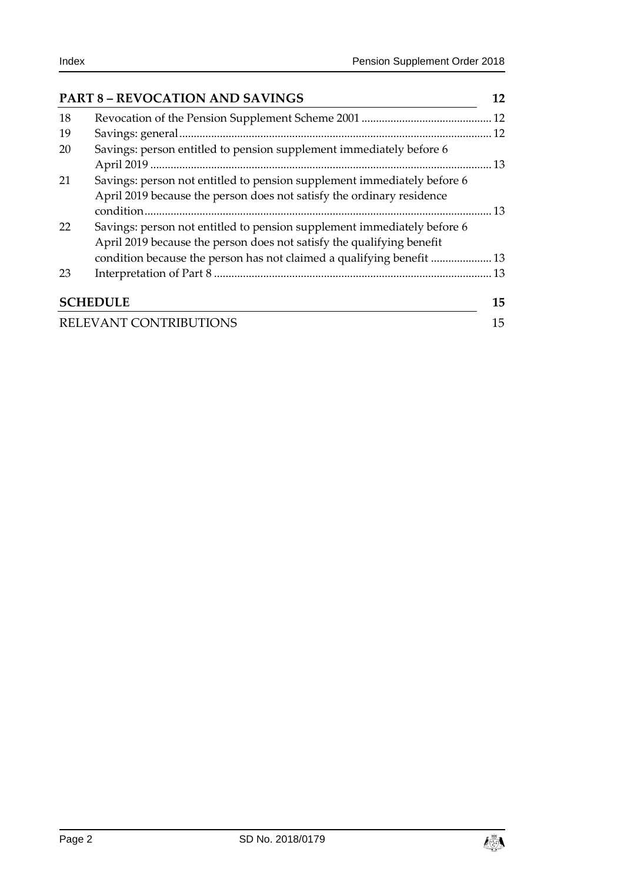| <b>PART 8 - REVOCATION AND SAVINGS</b> |                                                                                                                                                  |    |
|----------------------------------------|--------------------------------------------------------------------------------------------------------------------------------------------------|----|
| 18                                     |                                                                                                                                                  |    |
| 19                                     |                                                                                                                                                  |    |
| 20                                     | Savings: person entitled to pension supplement immediately before 6                                                                              |    |
| 21                                     | Savings: person not entitled to pension supplement immediately before 6<br>April 2019 because the person does not satisfy the ordinary residence |    |
| 22                                     | Savings: person not entitled to pension supplement immediately before 6<br>April 2019 because the person does not satisfy the qualifying benefit |    |
| 23                                     | condition because the person has not claimed a qualifying benefit  13                                                                            |    |
|                                        |                                                                                                                                                  |    |
|                                        | <b>SCHEDULE</b>                                                                                                                                  | 15 |
|                                        | RELEVANT CONTRIBUTIONS                                                                                                                           | 15 |

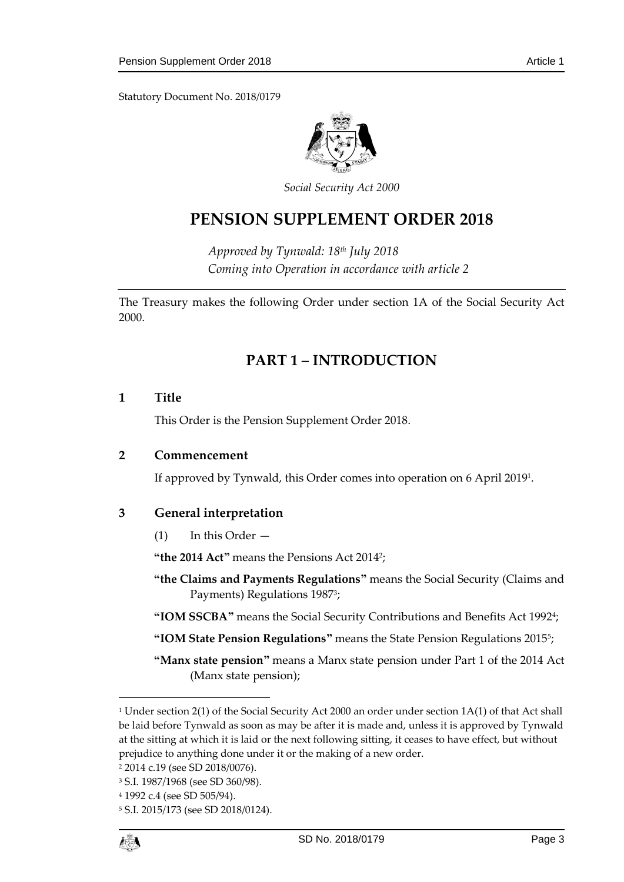Statutory Document No. 2018/0179



*Social Security Act 2000*

# **PENSION SUPPLEMENT ORDER 2018**

*Approved by Tynwald: 18th July 2018 Coming into Operation in accordance with article 2*

<span id="page-2-0"></span>The Treasury makes the following Order under section 1A of the Social Security Act 2000.

## **PART 1 – INTRODUCTION**

#### <span id="page-2-1"></span>**1 Title**

This Order is the Pension Supplement Order 2018.

#### <span id="page-2-2"></span>**2 Commencement**

If approved by Tynwald, this Order comes into operation on 6 April 2019<sup>1</sup> .

## <span id="page-2-3"></span>**3 General interpretation**

(1) In this Order —

**"the 2014 Act"** means the Pensions Act 2014<sup>2</sup> ;

- **"the Claims and Payments Regulations"** means the Social Security (Claims and Payments) Regulations 1987<sup>3</sup> ;
- **"IOM SSCBA"** means the Social Security Contributions and Benefits Act 1992<sup>4</sup> ;
- **"IOM State Pension Regulations"** means the State Pension Regulations 2015<sup>5</sup> ;
- **"Manx state pension"** means a Manx state pension under Part 1 of the 2014 Act (Manx state pension);

1

<sup>1</sup> Under section 2(1) of the Social Security Act 2000 an order under section 1A(1) of that Act shall be laid before Tynwald as soon as may be after it is made and, unless it is approved by Tynwald at the sitting at which it is laid or the next following sitting, it ceases to have effect, but without prejudice to anything done under it or the making of a new order.

<sup>2</sup> 2014 c.19 (see SD 2018/0076).

<sup>3</sup> S.I. 1987/1968 (see SD 360/98).

<sup>4</sup> 1992 c.4 (see SD 505/94).

<sup>5</sup> S.I. 2015/173 (see SD 2018/0124).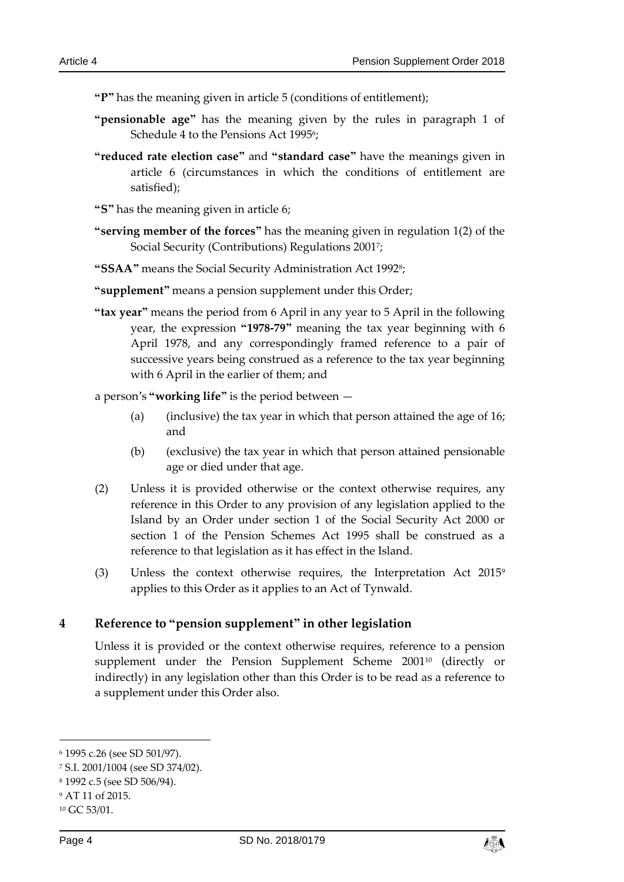**"P"** has the meaning given in article 5 (conditions of entitlement);

- **"pensionable age"** has the meaning given by the rules in paragraph 1 of Schedule 4 to the Pensions Act 19956;
- **"reduced rate election case"** and **"standard case"** have the meanings given in article 6 (circumstances in which the conditions of entitlement are satisfied);

**"S"** has the meaning given in article 6;

- **"serving member of the forces"** has the meaning given in regulation 1(2) of the Social Security (Contributions) Regulations 2001<sup>7</sup> ;
- **"SSAA"** means the Social Security Administration Act 1992<sup>8</sup> ;
- **"supplement"** means a pension supplement under this Order;
- **"tax year"** means the period from 6 April in any year to 5 April in the following year, the expression **"1978-79"** meaning the tax year beginning with 6 April 1978, and any correspondingly framed reference to a pair of successive years being construed as a reference to the tax year beginning with 6 April in the earlier of them; and

a person's **"working life"** is the period between —

- (a) (inclusive) the tax year in which that person attained the age of 16; and
- (b) (exclusive) the tax year in which that person attained pensionable age or died under that age.
- (2) Unless it is provided otherwise or the context otherwise requires, any reference in this Order to any provision of any legislation applied to the Island by an Order under section 1 of the Social Security Act 2000 or section 1 of the Pension Schemes Act 1995 shall be construed as a reference to that legislation as it has effect in the Island.
- (3) Unless the context otherwise requires, the Interpretation Act 2015<sup>9</sup> applies to this Order as it applies to an Act of Tynwald.

## <span id="page-3-0"></span>**4 Reference to "pension supplement" in other legislation**

Unless it is provided or the context otherwise requires, reference to a pension supplement under the Pension Supplement Scheme 2001<sup>10</sup> (directly or indirectly) in any legislation other than this Order is to be read as a reference to a supplement under this Order also.

-



<sup>6</sup> 1995 c.26 (see SD 501/97).

<sup>7</sup> S.I. 2001/1004 (see SD 374/02).

<sup>8</sup> 1992 c.5 (see SD 506/94).

<sup>9</sup> AT 11 of 2015.

<sup>10</sup> GC 53/01.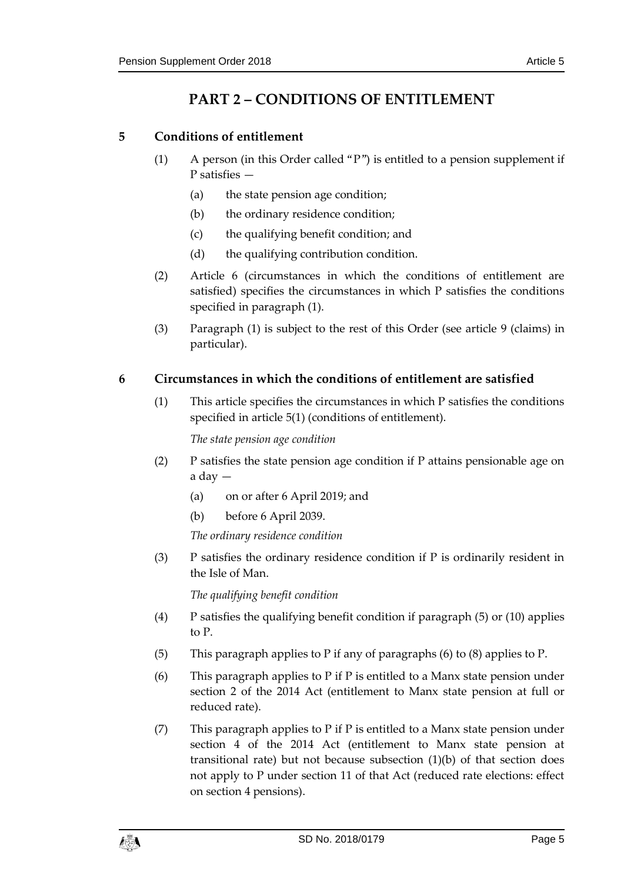## **PART 2 – CONDITIONS OF ENTITLEMENT**

## <span id="page-4-1"></span><span id="page-4-0"></span>**5 Conditions of entitlement**

- (1) A person (in this Order called "P") is entitled to a pension supplement if P satisfies
	- (a) the state pension age condition;
	- (b) the ordinary residence condition;
	- (c) the qualifying benefit condition; and
	- (d) the qualifying contribution condition.
- (2) Article 6 (circumstances in which the conditions of entitlement are satisfied) specifies the circumstances in which P satisfies the conditions specified in paragraph (1).
- (3) Paragraph (1) is subject to the rest of this Order (see article 9 (claims) in particular).

## <span id="page-4-2"></span>**6 Circumstances in which the conditions of entitlement are satisfied**

(1) This article specifies the circumstances in which P satisfies the conditions specified in article 5(1) (conditions of entitlement).

*The state pension age condition*

- (2) P satisfies the state pension age condition if P attains pensionable age on a day —
	- (a) on or after 6 April 2019; and
	- (b) before 6 April 2039.

*The ordinary residence condition*

(3) P satisfies the ordinary residence condition if P is ordinarily resident in the Isle of Man.

*The qualifying benefit condition*

- (4) P satisfies the qualifying benefit condition if paragraph (5) or (10) applies to P.
- (5) This paragraph applies to P if any of paragraphs (6) to (8) applies to P.
- (6) This paragraph applies to P if P is entitled to a Manx state pension under section 2 of the 2014 Act (entitlement to Manx state pension at full or reduced rate).
- (7) This paragraph applies to P if P is entitled to a Manx state pension under section 4 of the 2014 Act (entitlement to Manx state pension at transitional rate) but not because subsection (1)(b) of that section does not apply to P under section 11 of that Act (reduced rate elections: effect on section 4 pensions).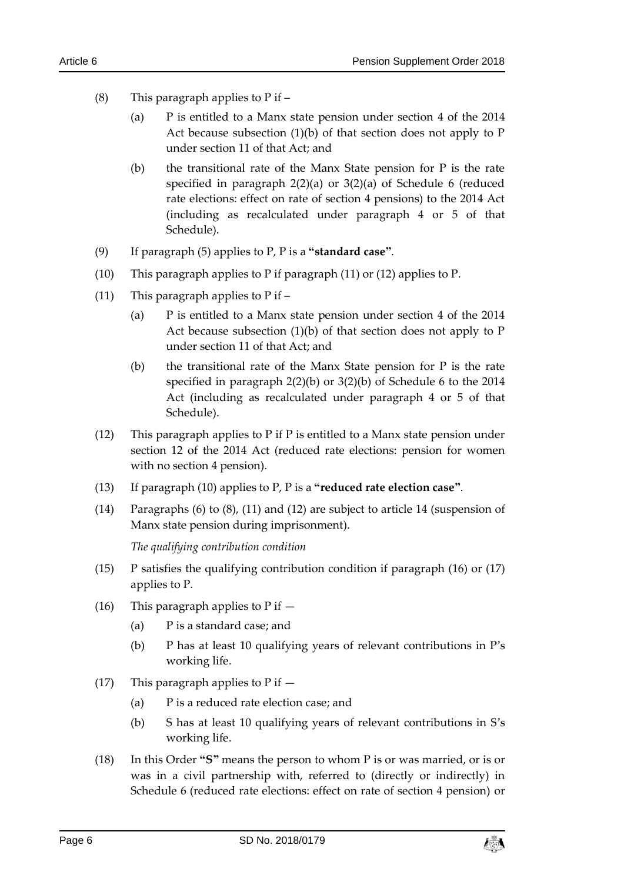- (8) This paragraph applies to  $P$  if  $-$ 
	- (a) P is entitled to a Manx state pension under section 4 of the 2014 Act because subsection  $(1)(b)$  of that section does not apply to  $P$ under section 11 of that Act; and
	- (b) the transitional rate of the Manx State pension for P is the rate specified in paragraph 2(2)(a) or 3(2)(a) of Schedule 6 (reduced rate elections: effect on rate of section 4 pensions) to the 2014 Act (including as recalculated under paragraph 4 or 5 of that Schedule).
- (9) If paragraph (5) applies to P, P is a **"standard case"**.
- (10) This paragraph applies to P if paragraph (11) or (12) applies to P.
- (11) This paragraph applies to  $P$  if  $-$ 
	- (a) P is entitled to a Manx state pension under section 4 of the 2014 Act because subsection  $(1)(b)$  of that section does not apply to P under section 11 of that Act; and
	- (b) the transitional rate of the Manx State pension for  $P$  is the rate specified in paragraph 2(2)(b) or 3(2)(b) of Schedule 6 to the 2014 Act (including as recalculated under paragraph 4 or 5 of that Schedule).
- (12) This paragraph applies to P if P is entitled to a Manx state pension under section 12 of the 2014 Act (reduced rate elections: pension for women with no section 4 pension).
- (13) If paragraph (10) applies to P, P is a **"reduced rate election case"**.
- (14) Paragraphs (6) to (8), (11) and (12) are subject to article 14 (suspension of Manx state pension during imprisonment).

*The qualifying contribution condition*

- (15) P satisfies the qualifying contribution condition if paragraph (16) or (17) applies to P.
- (16) This paragraph applies to  $P$  if  $-$ 
	- (a) P is a standard case; and
	- (b) P has at least 10 qualifying years of relevant contributions in P's working life.
- (17) This paragraph applies to  $P$  if  $-$ 
	- (a) P is a reduced rate election case; and
	- (b) S has at least 10 qualifying years of relevant contributions in S's working life.
- (18) In this Order **"S"** means the person to whom P is or was married, or is or was in a civil partnership with, referred to (directly or indirectly) in Schedule 6 (reduced rate elections: effect on rate of section 4 pension) or

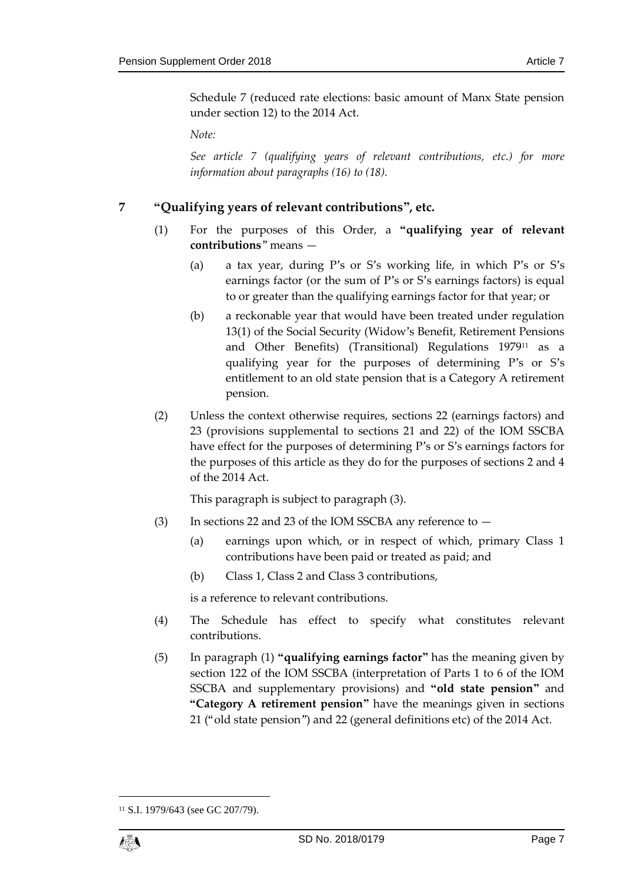Schedule 7 (reduced rate elections: basic amount of Manx State pension under section 12) to the 2014 Act.

*Note:*

*See article 7 (qualifying years of relevant contributions, etc.) for more information about paragraphs (16) to (18).*

## <span id="page-6-0"></span>**7 "Qualifying years of relevant contributions", etc.**

- (1) For the purposes of this Order, a **"qualifying year of relevant contributions**" means —
	- (a) a tax year, during P's or S's working life, in which P's or S's earnings factor (or the sum of P's or S's earnings factors) is equal to or greater than the qualifying earnings factor for that year; or
	- (b) a reckonable year that would have been treated under regulation 13(1) of the Social Security (Widow's Benefit, Retirement Pensions and Other Benefits) (Transitional) Regulations 1979<sup>11</sup> as a qualifying year for the purposes of determining P's or S's entitlement to an old state pension that is a Category A retirement pension.
- (2) Unless the context otherwise requires, sections 22 (earnings factors) and 23 (provisions supplemental to sections 21 and 22) of the IOM SSCBA have effect for the purposes of determining P's or S's earnings factors for the purposes of this article as they do for the purposes of sections 2 and 4 of the 2014 Act.

This paragraph is subject to paragraph (3).

- (3) In sections 22 and 23 of the IOM SSCBA any reference to
	- (a) earnings upon which, or in respect of which, primary Class 1 contributions have been paid or treated as paid; and
	- (b) Class 1, Class 2 and Class 3 contributions,

is a reference to relevant contributions.

- (4) The Schedule has effect to specify what constitutes relevant contributions.
- (5) In paragraph (1) **"qualifying earnings factor"** has the meaning given by section 122 of the IOM SSCBA (interpretation of Parts 1 to 6 of the IOM SSCBA and supplementary provisions) and **"old state pension"** and **"Category A retirement pension"** have the meanings given in sections 21 ("old state pension") and 22 (general definitions etc) of the 2014 Act.

1

<sup>11</sup> S.I. 1979/643 (see GC 207/79).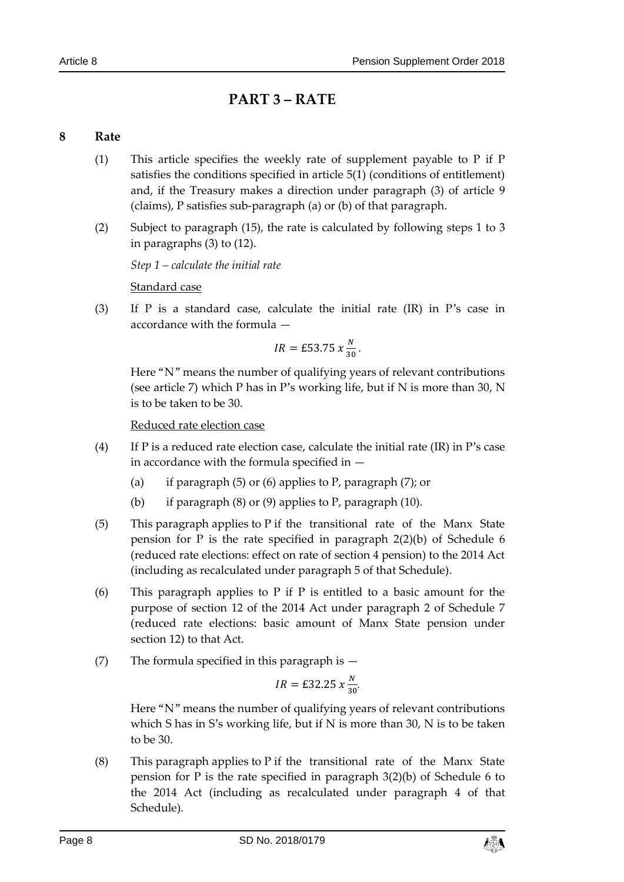## **PART 3 – RATE**

## <span id="page-7-1"></span><span id="page-7-0"></span>**8 Rate**

- (1) This article specifies the weekly rate of supplement payable to P if P satisfies the conditions specified in article 5(1) (conditions of entitlement) and, if the Treasury makes a direction under paragraph (3) of article 9 (claims), P satisfies sub-paragraph (a) or (b) of that paragraph.
- (2) Subject to paragraph (15), the rate is calculated by following steps 1 to 3 in paragraphs (3) to (12).

*Step 1 – calculate the initial rate*

Standard case

(3) If P is a standard case, calculate the initial rate (IR) in P's case in accordance with the formula —

$$
IR = \pounds 53.75 \times \frac{N}{30}
$$
.

Here "N" means the number of qualifying years of relevant contributions (see article 7) which P has in P's working life, but if N is more than 30, N is to be taken to be 30.

Reduced rate election case

- (4) If P is a reduced rate election case, calculate the initial rate  $(IR)$  in P's case in accordance with the formula specified in —
	- (a) if paragraph (5) or (6) applies to P, paragraph (7); or
	- (b) if paragraph (8) or (9) applies to P, paragraph (10).
- (5) This paragraph applies to P if the transitional rate of the Manx State pension for P is the rate specified in paragraph 2(2)(b) of Schedule 6 (reduced rate elections: effect on rate of section 4 pension) to the 2014 Act (including as recalculated under paragraph 5 of that Schedule).
- (6) This paragraph applies to P if P is entitled to a basic amount for the purpose of section 12 of the 2014 Act under paragraph 2 of Schedule 7 (reduced rate elections: basic amount of Manx State pension under section 12) to that Act.
- (7) The formula specified in this paragraph is  $-$

$$
IR = \pounds 32.25 \; x \frac{N}{30}.
$$

Here "N" means the number of qualifying years of relevant contributions which S has in S's working life, but if N is more than 30, N is to be taken to be 30.

(8) This paragraph applies to P if the transitional rate of the Manx State pension for P is the rate specified in paragraph 3(2)(b) of Schedule 6 to the 2014 Act (including as recalculated under paragraph 4 of that Schedule).

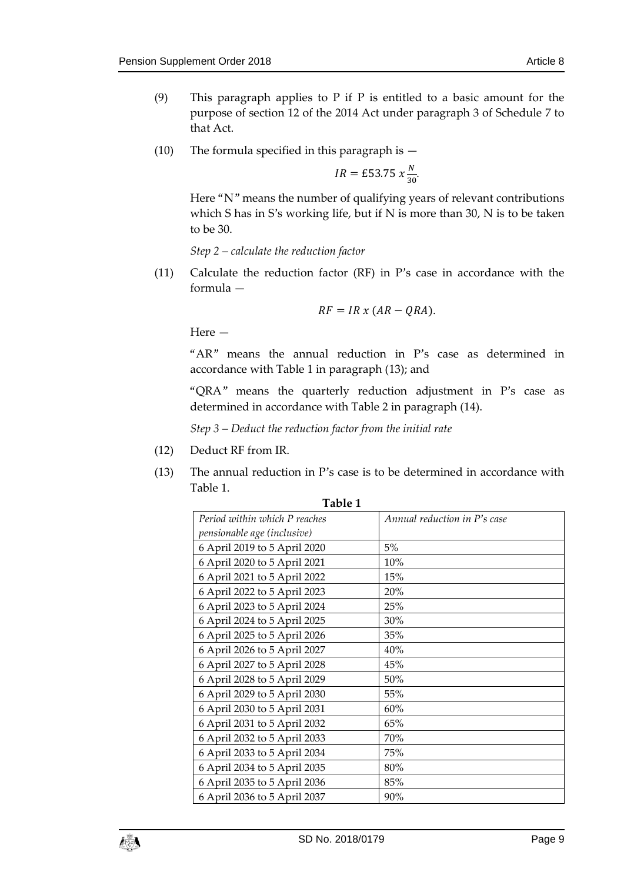- (9) This paragraph applies to  $P$  if  $P$  is entitled to a basic amount for the purpose of section 12 of the 2014 Act under paragraph 3 of Schedule 7 to that Act.
- (10) The formula specified in this paragraph is —

$$
IR = \pounds 53.75 \times \frac{N}{30}
$$

Here "N" means the number of qualifying years of relevant contributions which S has in S's working life, but if N is more than 30, N is to be taken to be 30.

*Step 2 – calculate the reduction factor*

(11) Calculate the reduction factor (RF) in P's case in accordance with the formula —

$$
RF = IR \times (AR - QRA).
$$

Here —

"AR" means the annual reduction in P's case as determined in accordance with Table 1 in paragraph (13); and

"QRA" means the quarterly reduction adjustment in P's case as determined in accordance with Table 2 in paragraph (14).

*Step 3 – Deduct the reduction factor from the initial rate*

- (12) Deduct RF from IR.
- (13) The annual reduction in P's case is to be determined in accordance with Table 1.

| Table 1                       |                              |  |
|-------------------------------|------------------------------|--|
| Period within which P reaches | Annual reduction in P's case |  |
| pensionable age (inclusive)   |                              |  |
| 6 April 2019 to 5 April 2020  | 5%                           |  |
| 6 April 2020 to 5 April 2021  | 10%                          |  |
| 6 April 2021 to 5 April 2022  | 15%                          |  |
| 6 April 2022 to 5 April 2023  | 20%                          |  |
| 6 April 2023 to 5 April 2024  | 25%                          |  |
| 6 April 2024 to 5 April 2025  | 30%                          |  |
| 6 April 2025 to 5 April 2026  | 35%                          |  |
| 6 April 2026 to 5 April 2027  | 40%                          |  |
| 6 April 2027 to 5 April 2028  | 45%                          |  |
| 6 April 2028 to 5 April 2029  | 50%                          |  |
| 6 April 2029 to 5 April 2030  | 55%                          |  |
| 6 April 2030 to 5 April 2031  | 60%                          |  |
| 6 April 2031 to 5 April 2032  | 65%                          |  |
| 6 April 2032 to 5 April 2033  | 70%                          |  |
| 6 April 2033 to 5 April 2034  | 75%                          |  |
| 6 April 2034 to 5 April 2035  | 80%                          |  |
| 6 April 2035 to 5 April 2036  | 85%                          |  |
| 6 April 2036 to 5 April 2037  | 90%                          |  |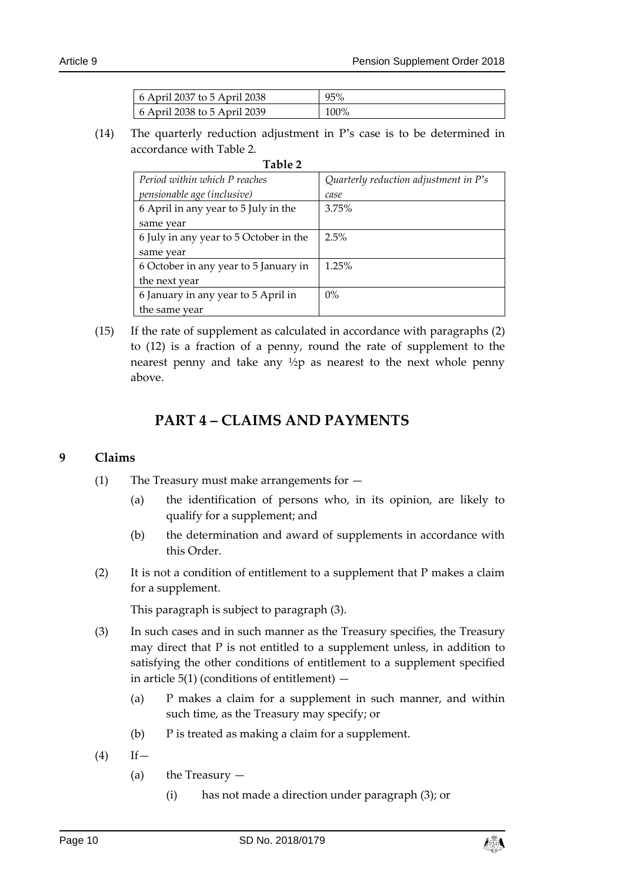| $\frac{1}{2}$ 6 April 2037 to 5 April 2038 | 95%  |
|--------------------------------------------|------|
| $\pm 6$ April 2038 to 5 April 2039         | 100% |

(14) The quarterly reduction adjustment in P's case is to be determined in accordance with Table 2.

| Table 2                                |                                         |
|----------------------------------------|-----------------------------------------|
| Period within which P reaches          | Quarterly reduction adjustment in $P's$ |
| pensionable age (inclusive)            | case                                    |
| 6 April in any year to 5 July in the   | 3.75%                                   |
| same year                              |                                         |
| 6 July in any year to 5 October in the | 2.5%                                    |
| same year                              |                                         |
| 6 October in any year to 5 January in  | 1.25%                                   |
| the next year                          |                                         |
| 6 January in any year to 5 April in    | $0\%$                                   |
| the same year                          |                                         |

(15) If the rate of supplement as calculated in accordance with paragraphs (2) to (12) is a fraction of a penny, round the rate of supplement to the nearest penny and take any ½p as nearest to the next whole penny above.

## **PART 4 – CLAIMS AND PAYMENTS**

## <span id="page-9-1"></span><span id="page-9-0"></span>**9 Claims**

- (1) The Treasury must make arrangements for
	- (a) the identification of persons who, in its opinion, are likely to qualify for a supplement; and
	- (b) the determination and award of supplements in accordance with this Order.
- (2) It is not a condition of entitlement to a supplement that P makes a claim for a supplement.

This paragraph is subject to paragraph (3).

- (3) In such cases and in such manner as the Treasury specifies, the Treasury may direct that P is not entitled to a supplement unless, in addition to satisfying the other conditions of entitlement to a supplement specified in article  $5(1)$  (conditions of entitlement)  $-$ 
	- (a) P makes a claim for a supplement in such manner, and within such time, as the Treasury may specify; or
	- (b) P is treated as making a claim for a supplement.
- $(4)$  If
	- (a) the Treasury
		- (i) has not made a direction under paragraph (3); or

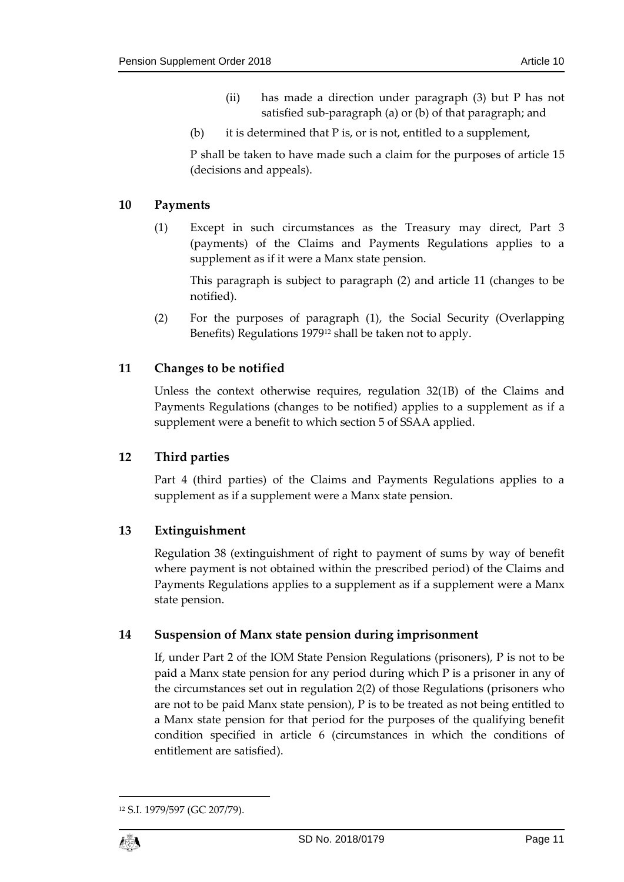- (ii) has made a direction under paragraph (3) but P has not satisfied sub-paragraph (a) or (b) of that paragraph; and
- (b) it is determined that  $P$  is, or is not, entitled to a supplement,

P shall be taken to have made such a claim for the purposes of article 15 (decisions and appeals).

### <span id="page-10-0"></span>**10 Payments**

(1) Except in such circumstances as the Treasury may direct, Part 3 (payments) of the Claims and Payments Regulations applies to a supplement as if it were a Manx state pension.

This paragraph is subject to paragraph (2) and article 11 (changes to be notified).

(2) For the purposes of paragraph (1), the Social Security (Overlapping Benefits) Regulations 1979<sup>12</sup> shall be taken not to apply.

## <span id="page-10-1"></span>**11 Changes to be notified**

Unless the context otherwise requires, regulation 32(1B) of the Claims and Payments Regulations (changes to be notified) applies to a supplement as if a supplement were a benefit to which section 5 of SSAA applied.

## <span id="page-10-2"></span>**12 Third parties**

Part 4 (third parties) of the Claims and Payments Regulations applies to a supplement as if a supplement were a Manx state pension.

## <span id="page-10-3"></span>**13 Extinguishment**

Regulation 38 (extinguishment of right to payment of sums by way of benefit where payment is not obtained within the prescribed period) of the Claims and Payments Regulations applies to a supplement as if a supplement were a Manx state pension.

## <span id="page-10-4"></span>**14 Suspension of Manx state pension during imprisonment**

If, under Part 2 of the IOM State Pension Regulations (prisoners), P is not to be paid a Manx state pension for any period during which P is a prisoner in any of the circumstances set out in regulation 2(2) of those Regulations (prisoners who are not to be paid Manx state pension), P is to be treated as not being entitled to a Manx state pension for that period for the purposes of the qualifying benefit condition specified in article 6 (circumstances in which the conditions of entitlement are satisfied).

<sup>12</sup> S.I. 1979/597 (GC 207/79).



1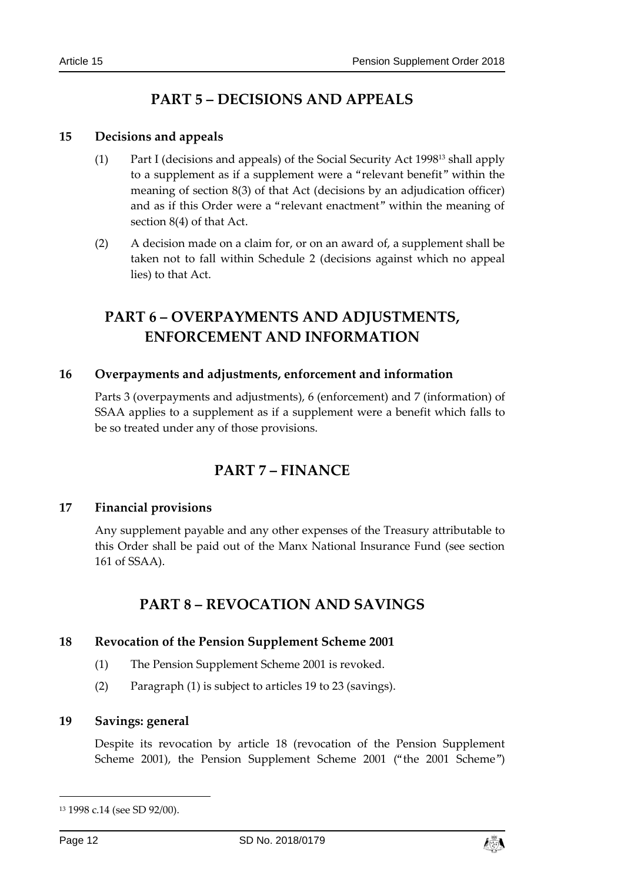## **PART 5 – DECISIONS AND APPEALS**

### <span id="page-11-1"></span><span id="page-11-0"></span>**15 Decisions and appeals**

- (1) Part I (decisions and appeals) of the Social Security Act 1998<sup>13</sup> shall apply to a supplement as if a supplement were a "relevant benefit" within the meaning of section 8(3) of that Act (decisions by an adjudication officer) and as if this Order were a "relevant enactment" within the meaning of section 8(4) of that Act.
- (2) A decision made on a claim for, or on an award of, a supplement shall be taken not to fall within Schedule 2 (decisions against which no appeal lies) to that Act.

## <span id="page-11-2"></span>**PART 6 – OVERPAYMENTS AND ADJUSTMENTS, ENFORCEMENT AND INFORMATION**

## <span id="page-11-3"></span>**16 Overpayments and adjustments, enforcement and information**

<span id="page-11-4"></span>Parts 3 (overpayments and adjustments), 6 (enforcement) and 7 (information) of SSAA applies to a supplement as if a supplement were a benefit which falls to be so treated under any of those provisions.

## **PART 7 – FINANCE**

## <span id="page-11-5"></span>**17 Financial provisions**

<span id="page-11-6"></span>Any supplement payable and any other expenses of the Treasury attributable to this Order shall be paid out of the Manx National Insurance Fund (see section 161 of SSAA).

## **PART 8 – REVOCATION AND SAVINGS**

#### <span id="page-11-7"></span>**18 Revocation of the Pension Supplement Scheme 2001**

- (1) The Pension Supplement Scheme 2001 is revoked.
- (2) Paragraph (1) is subject to articles 19 to 23 (savings).

#### <span id="page-11-8"></span>**19 Savings: general**

Despite its revocation by article 18 (revocation of the Pension Supplement Scheme 2001), the Pension Supplement Scheme 2001 ("the 2001 Scheme")

-



<sup>13</sup> 1998 c.14 (see SD 92/00).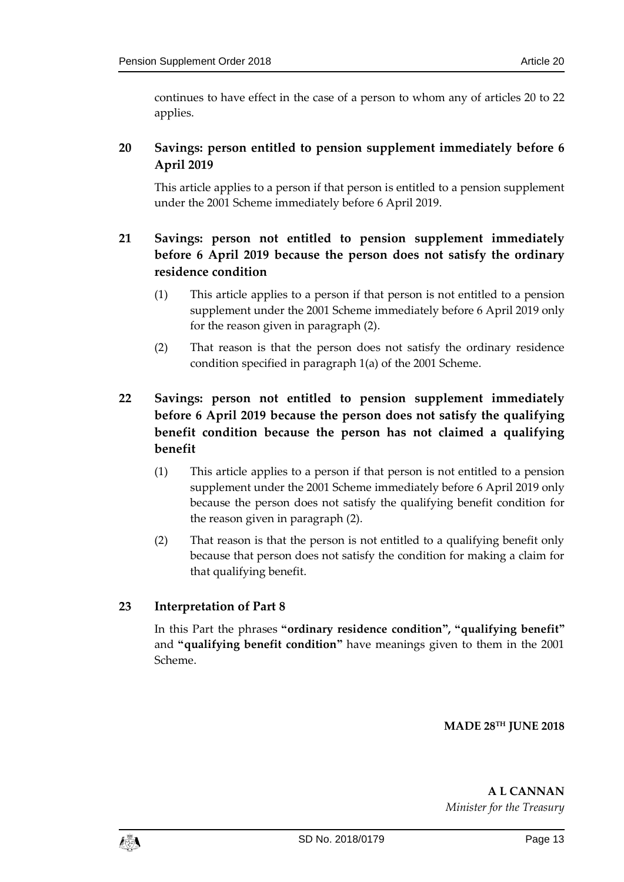continues to have effect in the case of a person to whom any of articles 20 to 22 applies.

## <span id="page-12-0"></span>**20 Savings: person entitled to pension supplement immediately before 6 April 2019**

This article applies to a person if that person is entitled to a pension supplement under the 2001 Scheme immediately before 6 April 2019.

## <span id="page-12-1"></span>**21 Savings: person not entitled to pension supplement immediately before 6 April 2019 because the person does not satisfy the ordinary residence condition**

- (1) This article applies to a person if that person is not entitled to a pension supplement under the 2001 Scheme immediately before 6 April 2019 only for the reason given in paragraph (2).
- (2) That reason is that the person does not satisfy the ordinary residence condition specified in paragraph 1(a) of the 2001 Scheme.

## <span id="page-12-2"></span>**22 Savings: person not entitled to pension supplement immediately before 6 April 2019 because the person does not satisfy the qualifying benefit condition because the person has not claimed a qualifying benefit**

- (1) This article applies to a person if that person is not entitled to a pension supplement under the 2001 Scheme immediately before 6 April 2019 only because the person does not satisfy the qualifying benefit condition for the reason given in paragraph (2).
- (2) That reason is that the person is not entitled to a qualifying benefit only because that person does not satisfy the condition for making a claim for that qualifying benefit.

## <span id="page-12-3"></span>**23 Interpretation of Part 8**

In this Part the phrases **"ordinary residence condition", "qualifying benefit"**  and **"qualifying benefit condition"** have meanings given to them in the 2001 Scheme.

**MADE 28TH JUNE 2018**

**A L CANNAN** *Minister for the Treasury*

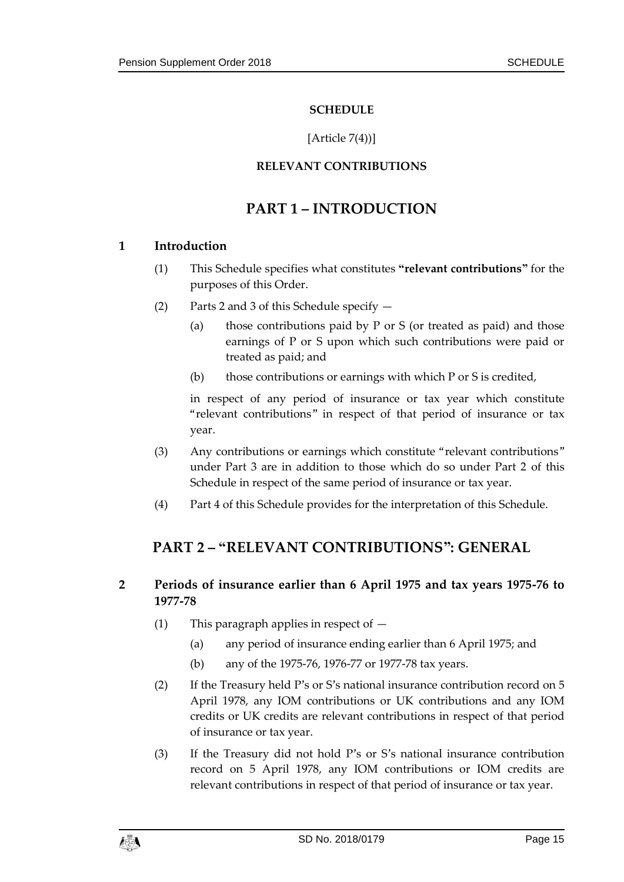### **SCHEDULE**

#### [Article  $7(4)$ ]

## **RELEVANT CONTRIBUTIONS**

## **PART 1 – INTRODUCTION**

## <span id="page-14-1"></span><span id="page-14-0"></span>**1 Introduction**

- (1) This Schedule specifies what constitutes **"relevant contributions"** for the purposes of this Order.
- (2) Parts 2 and 3 of this Schedule specify
	- (a) those contributions paid by P or S (or treated as paid) and those earnings of P or S upon which such contributions were paid or treated as paid; and
	- (b) those contributions or earnings with which P or S is credited,

in respect of any period of insurance or tax year which constitute "relevant contributions" in respect of that period of insurance or tax year.

- (3) Any contributions or earnings which constitute "relevant contributions" under Part 3 are in addition to those which do so under Part 2 of this Schedule in respect of the same period of insurance or tax year.
- (4) Part 4 of this Schedule provides for the interpretation of this Schedule.

## **PART 2 – "RELEVANT CONTRIBUTIONS": GENERAL**

## **2 Periods of insurance earlier than 6 April 1975 and tax years 1975-76 to 1977-78**

- (1) This paragraph applies in respect of  $-$ 
	- (a) any period of insurance ending earlier than 6 April 1975; and
	- (b) any of the 1975-76, 1976-77 or 1977-78 tax years.
- (2) If the Treasury held P's or S's national insurance contribution record on 5 April 1978, any IOM contributions or UK contributions and any IOM credits or UK credits are relevant contributions in respect of that period of insurance or tax year.
- (3) If the Treasury did not hold P's or S's national insurance contribution record on 5 April 1978, any IOM contributions or IOM credits are relevant contributions in respect of that period of insurance or tax year.

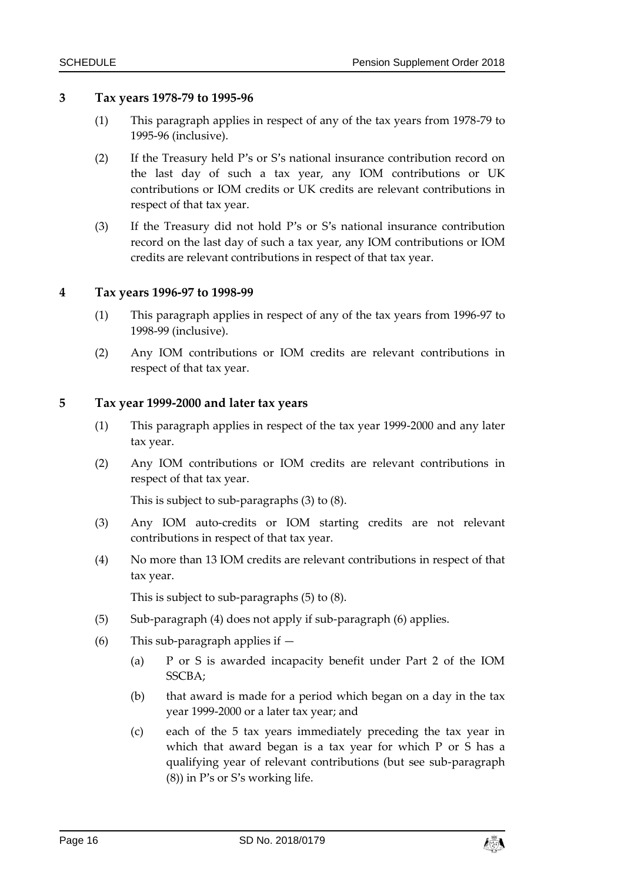#### **3 Tax years 1978-79 to 1995-96**

- (1) This paragraph applies in respect of any of the tax years from 1978-79 to 1995-96 (inclusive).
- (2) If the Treasury held P's or S's national insurance contribution record on the last day of such a tax year, any IOM contributions or UK contributions or IOM credits or UK credits are relevant contributions in respect of that tax year.
- (3) If the Treasury did not hold P's or S's national insurance contribution record on the last day of such a tax year, any IOM contributions or IOM credits are relevant contributions in respect of that tax year.

#### **4 Tax years 1996-97 to 1998-99**

- (1) This paragraph applies in respect of any of the tax years from 1996-97 to 1998-99 (inclusive).
- (2) Any IOM contributions or IOM credits are relevant contributions in respect of that tax year.

#### **5 Tax year 1999-2000 and later tax years**

- (1) This paragraph applies in respect of the tax year 1999-2000 and any later tax year.
- (2) Any IOM contributions or IOM credits are relevant contributions in respect of that tax year.

This is subject to sub-paragraphs (3) to (8).

- (3) Any IOM auto-credits or IOM starting credits are not relevant contributions in respect of that tax year.
- (4) No more than 13 IOM credits are relevant contributions in respect of that tax year.

This is subject to sub-paragraphs (5) to (8).

- (5) Sub-paragraph (4) does not apply if sub-paragraph (6) applies.
- (6) This sub-paragraph applies if  $-$ 
	- (a) P or S is awarded incapacity benefit under Part 2 of the IOM SSCBA;
	- (b) that award is made for a period which began on a day in the tax year 1999-2000 or a later tax year; and
	- (c) each of the 5 tax years immediately preceding the tax year in which that award began is a tax year for which P or S has a qualifying year of relevant contributions (but see sub-paragraph (8)) in P's or S's working life.

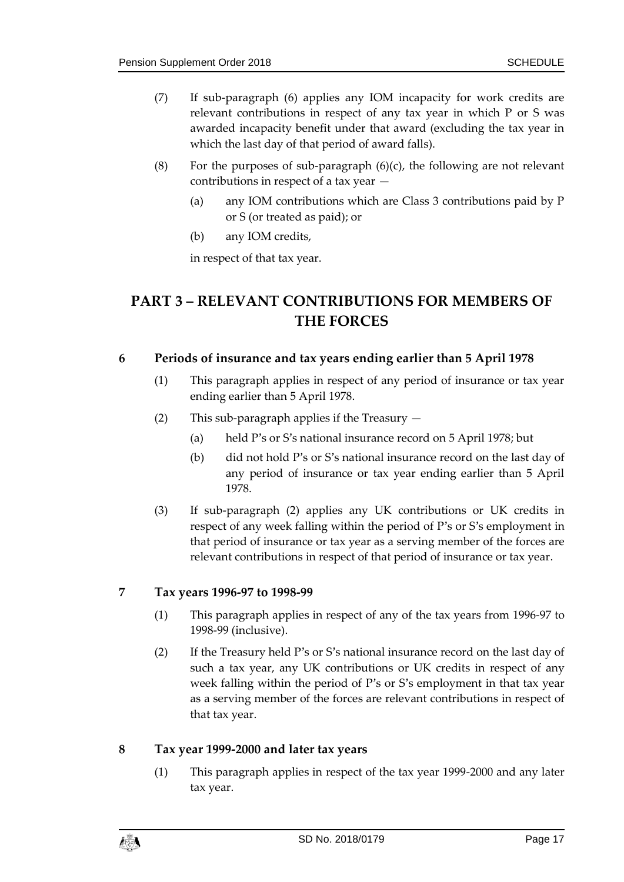- (7) If sub-paragraph (6) applies any IOM incapacity for work credits are relevant contributions in respect of any tax year in which P or S was awarded incapacity benefit under that award (excluding the tax year in which the last day of that period of award falls).
- (8) For the purposes of sub-paragraph  $(6)(c)$ , the following are not relevant contributions in respect of a tax year —
	- (a) any IOM contributions which are Class 3 contributions paid by P or S (or treated as paid); or
	- (b) any IOM credits,

in respect of that tax year.

## **PART 3 – RELEVANT CONTRIBUTIONS FOR MEMBERS OF THE FORCES**

#### **6 Periods of insurance and tax years ending earlier than 5 April 1978**

- (1) This paragraph applies in respect of any period of insurance or tax year ending earlier than 5 April 1978.
- (2) This sub-paragraph applies if the Treasury
	- (a) held P's or S's national insurance record on 5 April 1978; but
	- (b) did not hold P's or S's national insurance record on the last day of any period of insurance or tax year ending earlier than 5 April 1978.
- (3) If sub-paragraph (2) applies any UK contributions or UK credits in respect of any week falling within the period of P's or S's employment in that period of insurance or tax year as a serving member of the forces are relevant contributions in respect of that period of insurance or tax year.

## **7 Tax years 1996-97 to 1998-99**

- (1) This paragraph applies in respect of any of the tax years from 1996-97 to 1998-99 (inclusive).
- (2) If the Treasury held P's or S's national insurance record on the last day of such a tax year, any UK contributions or UK credits in respect of any week falling within the period of P's or S's employment in that tax year as a serving member of the forces are relevant contributions in respect of that tax year.

## **8 Tax year 1999-2000 and later tax years**

(1) This paragraph applies in respect of the tax year 1999-2000 and any later tax year.

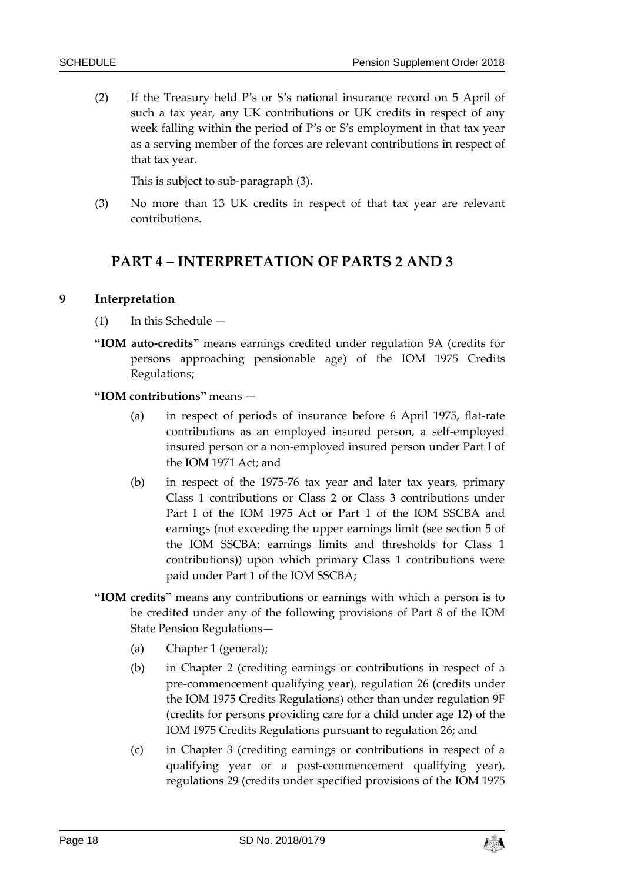(2) If the Treasury held P's or S's national insurance record on 5 April of such a tax year, any UK contributions or UK credits in respect of any week falling within the period of P's or S's employment in that tax year as a serving member of the forces are relevant contributions in respect of that tax year.

This is subject to sub-paragraph (3).

(3) No more than 13 UK credits in respect of that tax year are relevant contributions.

## **PART 4 – INTERPRETATION OF PARTS 2 AND 3**

#### **9 Interpretation**

- (1) In this Schedule —
- **"IOM auto-credits"** means earnings credited under regulation 9A (credits for persons approaching pensionable age) of the IOM 1975 Credits Regulations;

#### **"IOM contributions"** means —

- (a) in respect of periods of insurance before 6 April 1975, flat-rate contributions as an employed insured person, a self-employed insured person or a non-employed insured person under Part I of the IOM 1971 Act; and
- (b) in respect of the 1975-76 tax year and later tax years, primary Class 1 contributions or Class 2 or Class 3 contributions under Part I of the IOM 1975 Act or Part 1 of the IOM SSCBA and earnings (not exceeding the upper earnings limit (see section 5 of the IOM SSCBA: earnings limits and thresholds for Class 1 contributions)) upon which primary Class 1 contributions were paid under Part 1 of the IOM SSCBA;
- **"IOM credits"** means any contributions or earnings with which a person is to be credited under any of the following provisions of Part 8 of the IOM State Pension Regulations—
	- (a) Chapter 1 (general);
	- (b) in Chapter 2 (crediting earnings or contributions in respect of a pre-commencement qualifying year), regulation 26 (credits under the IOM 1975 Credits Regulations) other than under regulation 9F (credits for persons providing care for a child under age 12) of the IOM 1975 Credits Regulations pursuant to regulation 26; and
	- (c) in Chapter 3 (crediting earnings or contributions in respect of a qualifying year or a post-commencement qualifying year), regulations 29 (credits under specified provisions of the IOM 1975

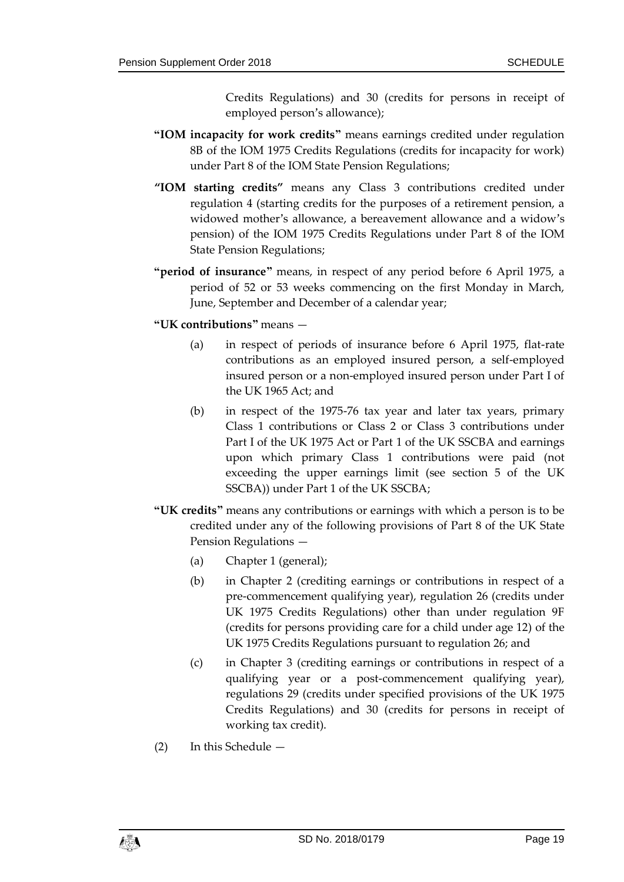Credits Regulations) and 30 (credits for persons in receipt of employed person's allowance);

- **"IOM incapacity for work credits"** means earnings credited under regulation 8B of the IOM 1975 Credits Regulations (credits for incapacity for work) under Part 8 of the IOM State Pension Regulations;
- **"IOM starting credits"** means any Class 3 contributions credited under regulation 4 (starting credits for the purposes of a retirement pension, a widowed mother's allowance, a bereavement allowance and a widow's pension) of the IOM 1975 Credits Regulations under Part 8 of the IOM State Pension Regulations;
- **"period of insurance"** means, in respect of any period before 6 April 1975, a period of 52 or 53 weeks commencing on the first Monday in March, June, September and December of a calendar year;
- **"UK contributions"** means
	- (a) in respect of periods of insurance before 6 April 1975, flat-rate contributions as an employed insured person, a self-employed insured person or a non-employed insured person under Part I of the UK 1965 Act; and
	- (b) in respect of the 1975-76 tax year and later tax years, primary Class 1 contributions or Class 2 or Class 3 contributions under Part I of the UK 1975 Act or Part 1 of the UK SSCBA and earnings upon which primary Class 1 contributions were paid (not exceeding the upper earnings limit (see section 5 of the UK SSCBA)) under Part 1 of the UK SSCBA;
- **"UK credits"** means any contributions or earnings with which a person is to be credited under any of the following provisions of Part 8 of the UK State Pension Regulations —
	- (a) Chapter 1 (general);
	- (b) in Chapter 2 (crediting earnings or contributions in respect of a pre-commencement qualifying year), regulation 26 (credits under UK 1975 Credits Regulations) other than under regulation 9F (credits for persons providing care for a child under age 12) of the UK 1975 Credits Regulations pursuant to regulation 26; and
	- (c) in Chapter 3 (crediting earnings or contributions in respect of a qualifying year or a post-commencement qualifying year), regulations 29 (credits under specified provisions of the UK 1975 Credits Regulations) and 30 (credits for persons in receipt of working tax credit).
- (2) In this Schedule —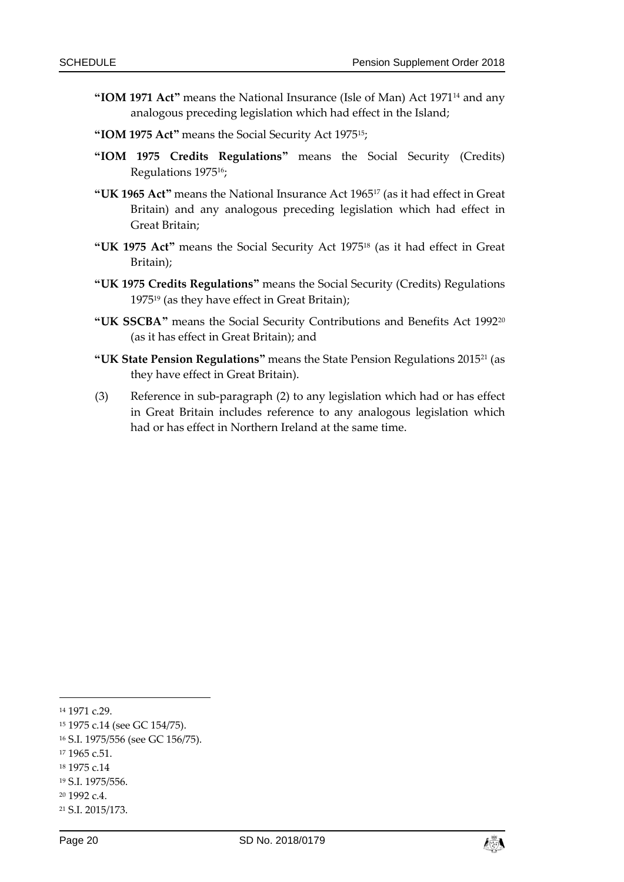- **"IOM 1971 Act"** means the National Insurance (Isle of Man) Act 1971<sup>14</sup> and any analogous preceding legislation which had effect in the Island;
- **"IOM 1975 Act"** means the Social Security Act 197515;
- **"IOM 1975 Credits Regulations"** means the Social Security (Credits) Regulations 197516;
- **"UK 1965 Act"** means the National Insurance Act 1965<sup>17</sup> (as it had effect in Great Britain) and any analogous preceding legislation which had effect in Great Britain;
- **"UK 1975 Act"** means the Social Security Act 1975<sup>18</sup> (as it had effect in Great Britain);
- **"UK 1975 Credits Regulations"** means the Social Security (Credits) Regulations 1975<sup>19</sup> (as they have effect in Great Britain);
- **"UK SSCBA"** means the Social Security Contributions and Benefits Act 1992<sup>20</sup> (as it has effect in Great Britain); and
- **"UK State Pension Regulations"** means the State Pension Regulations 2015<sup>21</sup> (as they have effect in Great Britain).
- (3) Reference in sub-paragraph (2) to any legislation which had or has effect in Great Britain includes reference to any analogous legislation which had or has effect in Northern Ireland at the same time.

-

<sup>16</sup> S.I. 1975/556 (see GC 156/75).

- <sup>18</sup> 1975 c.14
- <sup>19</sup> S.I. 1975/556.
- <sup>20</sup> 1992 c.4.



<sup>14</sup> 1971 c.29.

<sup>15</sup> 1975 c.14 (see GC 154/75).

<sup>17</sup> 1965 c.51.

<sup>21</sup> S.I. 2015/173.